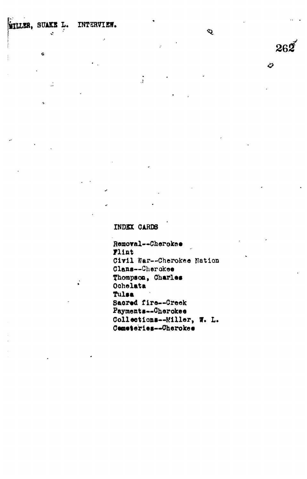WILLER, SUAKE L. INTERVIEW.

¢

Ž,

ż

INDEX CARDS

 $\frac{1}{3}$ 

Removal--Cherokee Flint Civil War--Cherokee Nation Clans--Cherokee Thompson, Charles Ochelata Tulsa Sacred fire--Creek Payments--Cherokee Collections--Miller, W. L. Cemeteries--Cherokee

 $\ddot{\mathbf{Q}}$ 

 $26<sup>t</sup>$ 

හ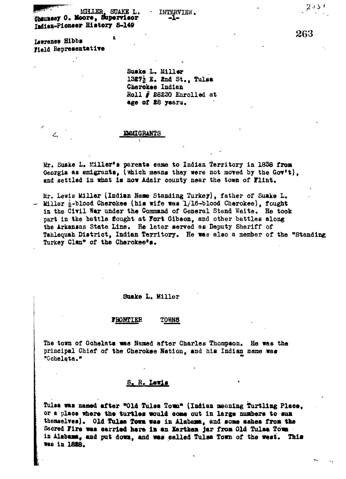**MILLER, SUAKE L. - INTERVIEW.**<br>Channesy O. Moore, Supervisor -1-Indian-Pioneer History S-149

Lawrence Hibbs **Field Representative** 

Field **BepresentatiTe**

厶

**Suake L. Miller 13£7& E. 2nd St., Tulsa Cherokee Indian Boll § £8220 Enrolled at age of £8** years.

## **EMMIGRANTS**

**Mr. Suake L. filler\*\* parents came to Indian Territory in 1838 from -Georgia as emigrants, (which means they «ere not mored by the Gor't),** and settled in what is now Adair county near the town of **Flint**.

**Mr. Lewie Miller (Indian Ham Standing Turkey), father of Suake L. Miller i-blood Cherokee (his wife was 1/16-blood Cherokee), fought** in the Civil War under the Command of General Stand Waite. He took **part in the battle fought at Fort Gibson, and other battles along the Arkansas State Line. He later served as Deputy Sheriff of Tahlequah District, Indian Territory. He was also a member of the "Standing Turkey Clan" of the Cherokee\*s.**

### **Suake L. Miller**

#### FRONTIER **T0««S**

**The town of Ochelata waa Naned after Charles Thompson. He was the principal Chief of the Cherokee Nation, and his Indian name was "0hlt "0chelata.»»**

# **S. R. Lewis**

Tulsa was named after "Old Tulsa Tomn" (Indian meaning Turtling Place, or a place where the turtles would come out in large numbers to sun thenselves). Old Tulsa Town was in Alabama, and some ashes from the Sacred Fire was carried here im an Earthen jar from Old Tulsa Town **is Alabama, aad put down, and wes called Tulsa Town of the west. This was in 18\*8.**

263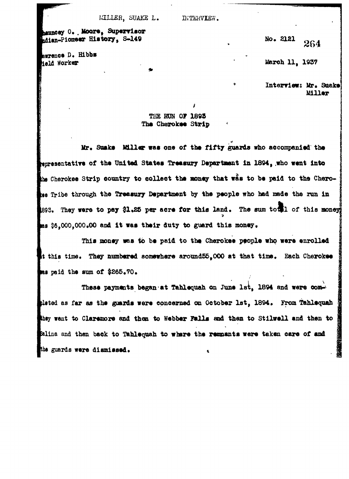**Bennesy 0.**, Moore, Supervisor **lian-Pionser History, S-149**

**Bwrence D. Hibbs ield Worker**

**No\* 2121** *[*

**torch 11, 1937**

**\* Interriew; Mr. Suake**

# **THE RON OF 1893 The Cherokee Strip**

**Mr. Suake Miller wae one of the fifty guards who accompanied the »sentatire of the United States Treasury Department in 1894, .who went into** he Cherokee Strip country to collect the money that was to be paid to the Chero**lee** Tribe through the Treasury Department by the people who had made the run in **393. They were to pay \$1.25 per acre for this land. The sum to 11 of this money** has \$6,000,000.00 and it was their duty to guard this money.

**This money was to be paid to the Cherokee people who were enrolled It this time. They numbered somewhere around55,000 at that time. Each Cherokee paid the sum of \$265.70•**

**These payments began at Tahlequah on June 1st, 1894 and were oom**bleted as far as the guards were concerned on October 1st, 1894. From Tahlequah **want to Claremore and then to Webber Falls aod than to Stilvell and then to Salina and then back to Tahlequah to where the remnants were taken care of and** the guards were dismissed.